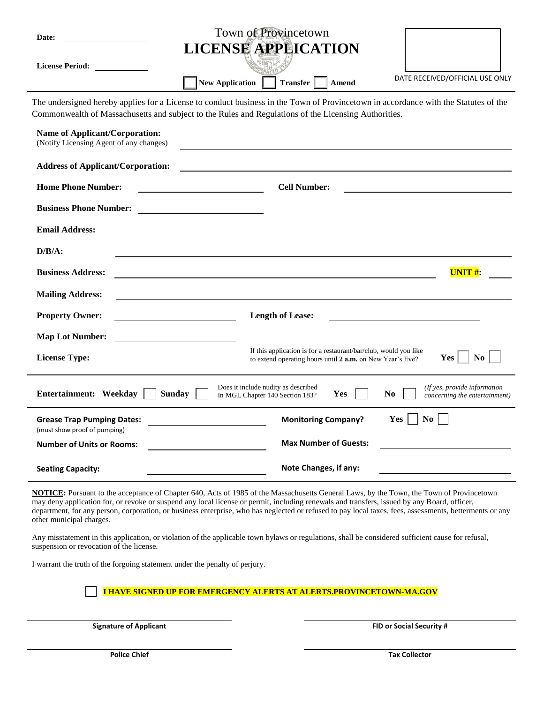| Date:                                                                                                                                                                                                                                       | Town of Provincetown                                                                                                                                   |
|---------------------------------------------------------------------------------------------------------------------------------------------------------------------------------------------------------------------------------------------|--------------------------------------------------------------------------------------------------------------------------------------------------------|
| <b>License Period:</b>                                                                                                                                                                                                                      | <b>LICENSE APPEICATION</b><br>DATE RECEIVED/OFFICIAL USE ONLY<br><b>New Application</b><br><b>Transfer</b><br>Amend                                    |
| The undersigned hereby applies for a License to conduct business in the Town of Provincetown in accordance with the Statutes of the<br>Commonwealth of Massachusetts and subject to the Rules and Regulations of the Licensing Authorities. |                                                                                                                                                        |
| <b>Name of Applicant/Corporation:</b><br>(Notify Licensing Agent of any changes)                                                                                                                                                            |                                                                                                                                                        |
| <b>Address of Applicant/Corporation:</b>                                                                                                                                                                                                    |                                                                                                                                                        |
| <b>Home Phone Number:</b>                                                                                                                                                                                                                   | <b>Cell Number:</b>                                                                                                                                    |
| <b>Business Phone Number:</b>                                                                                                                                                                                                               |                                                                                                                                                        |
| <b>Email Address:</b>                                                                                                                                                                                                                       |                                                                                                                                                        |
| $D/B/A$ :                                                                                                                                                                                                                                   |                                                                                                                                                        |
| <b>Business Address:</b>                                                                                                                                                                                                                    | $UNIT#$ :                                                                                                                                              |
| <b>Mailing Address:</b>                                                                                                                                                                                                                     |                                                                                                                                                        |
| <b>Property Owner:</b>                                                                                                                                                                                                                      | <b>Length of Lease:</b>                                                                                                                                |
| <b>Map Lot Number:</b>                                                                                                                                                                                                                      |                                                                                                                                                        |
| <b>License Type:</b>                                                                                                                                                                                                                        | If this application is for a restaurant/bar/club, would you like<br>N <sub>0</sub><br>Yes<br>to extend operating hours until 2 a.m. on New Year's Eve? |
| Does it include nudity as described<br>(If yes, provide information<br>Entertainment: Weekday<br><b>Sunday</b><br>N <sub>0</sub><br>Yes<br>In MGL Chapter 140 Section 183?<br>concerning the entertainment)                                 |                                                                                                                                                        |
| <b>Grease Trap Pumping Dates:</b><br>(must show proof of pumping)                                                                                                                                                                           | N <sub>0</sub><br><b>Monitoring Company?</b><br>Yes                                                                                                    |
| <b>Number of Units or Rooms:</b>                                                                                                                                                                                                            | <b>Max Number of Guests:</b>                                                                                                                           |
| <b>Seating Capacity:</b>                                                                                                                                                                                                                    | Note Changes, if any:                                                                                                                                  |

**NOTICE:** Pursuant to the acceptance of Chapter 640, Acts of 1985 of the Massachusetts General Laws, by the Town, the Town of Provincetown may deny application for, or revoke or suspend any local license or permit, including renewals and transfers, issued by any Board, officer, department, for any person, corporation, or business enterprise, who has neglected or refused to pay local taxes, fees, assessments, betterments or any other municipal charges.

Any misstatement in this application, or violation of the applicable town bylaws or regulations, shall be considered sufficient cause for refusal, suspension or revocation of the license.

I warrant the truth of the forgoing statement under the penalty of perjury.

**I HAVE SIGNED UP FOR EMERGENCY ALERTS AT ALERTS.PROVINCETOWN-MA.GOV**

**Signature of Applicant FID or Social Security #**